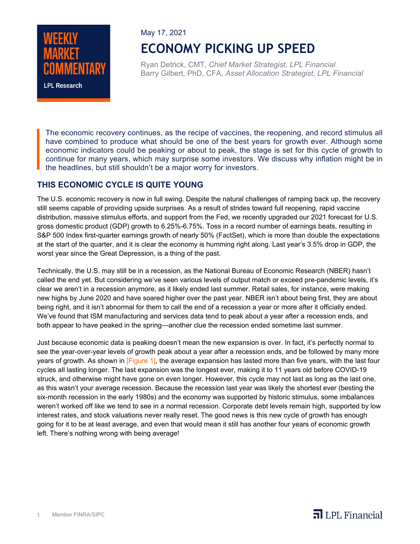

May 17, 2021 **ECONOMY PICKING UP SPEED**

Ryan Detrick, CMT, *Chief Market Strategist, LPL Financial* Barry Gilbert*,* PhD, CFA*, Asset Allocation Strategist, LPL Financial*

The economic recovery continues, as the recipe of vaccines, the reopening, and record stimulus all have combined to produce what should be one of the best years for growth ever. Although some economic indicators could be peaking or about to peak, the stage is set for this cycle of growth to continue for many years, which may surprise some investors. We discuss why inflation might be in the headlines, but still shouldn't be a major worry for investors.

### **THIS ECONOMIC CYCLE IS QUITE YOUNG**

The U.S. economic recovery is now in full swing. Despite the natural challenges of ramping back up, the recovery still seems capable of providing upside surprises. As a result of strides toward full reopening, rapid vaccine distribution, massive stimulus efforts, and support from the Fed, we recently upgraded our 2021 forecast for U.S. gross domestic product (GDP) growth to 6.25%-6.75%. Toss in a record number of earnings beats, resulting in S&P 500 Index first-quarter earnings growth of nearly 50% (FactSet), which is more than double the expectations at the start of the quarter, and it is clear the economy is humming right along. Last year's 3.5% drop in GDP, the worst year since the Great Depression, is a thing of the past.

Technically, the U.S. may still be in a recession, as the National Bureau of Economic Research (NBER) hasn't called the end yet. But considering we've seen various levels of output match or exceed pre-pandemic levels, it's clear we aren't in a recession anymore, as it likely ended last summer. Retail sales, for instance, were making new highs by June 2020 and have soared higher over the past year. NBER isn't about being first, they are about being right, and it isn't abnormal for them to call the end of a recession a year or more after it officially ended. We've found that ISM manufacturing and services data tend to peak about a year after a recession ends, and both appear to have peaked in the spring—another clue the recession ended sometime last summer.

Just because economic data is peaking doesn't mean the new expansion is over. In fact, it's perfectly normal to see the year-over-year levels of growth peak about a year after a recession ends, and be followed by many more years of growth. As shown in [Figure 1], the average expansion has lasted more than five years, with the last four cycles all lasting longer. The last expansion was the longest ever, making it to 11 years old before COVID-19 struck, and otherwise might have gone on even longer. However, this cycle may not last as long as the last one, as this wasn't your average recession. Because the recession last year was likely the shortest ever (besting the six-month recession in the early 1980s) and the economy was supported by historic stimulus, some imbalances weren't worked off like we tend to see in a normal recession. Corporate debt levels remain high, supported by low interest rates, and stock valuations never really reset. The good news is this new cycle of growth has enough going for it to be at least average, and even that would mean it still has another four years of economic growth left. There's nothing wrong with being average!

 $\overline{\mathbf{a}}$  LPL Financial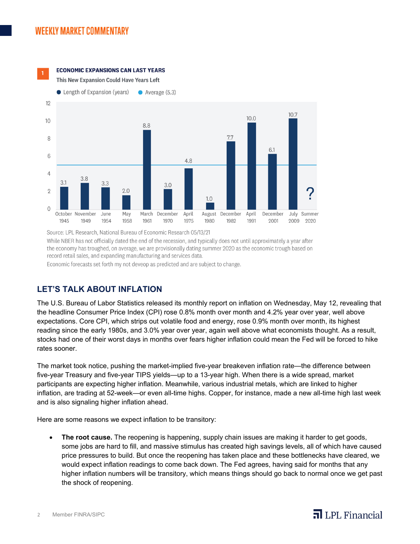

#### **ECONOMIC EXPANSIONS CAN LAST YEARS**

This New Expansion Could Have Years Left



Source: LPL Research, National Bureau of Economic Research 05/13/21 While NBER has not officially dated the end of the recession, and typically does not until approximately a year after the economy has troughed, on average, we are provisionally dating summer 2020 as the economic trough based on record retail sales, and expanding manufacturing and services data. Economic forecasts set forth my not deveop as predicted and are subject to change.

# **LET'S TALK ABOUT INFLATION**

The U.S. Bureau of Labor Statistics released its monthly report on inflation on Wednesday, May 12, revealing that the headline Consumer Price Index (CPI) rose 0.8% month over month and 4.2% year over year, well above expectations. Core CPI, which strips out volatile food and energy, rose 0.9% month over month, its highest reading since the early 1980s, and 3.0% year over year, again well above what economists thought. As a result, stocks had one of their worst days in months over fears higher inflation could mean the Fed will be forced to hike rates sooner.

The market took notice, pushing the market-implied five-year breakeven inflation rate—the difference between five-year Treasury and five-year TIPS yields—up to a 13-year high. When there is a wide spread, market participants are expecting higher inflation. Meanwhile, various industrial metals, which are linked to higher inflation, are trading at 52-week—or even all-time highs. Copper, for instance, made a new all-time high last week and is also signaling higher inflation ahead.

Here are some reasons we expect inflation to be transitory:

• **The root cause.** The reopening is happening, supply chain issues are making it harder to get goods, some jobs are hard to fill, and massive stimulus has created high savings levels, all of which have caused price pressures to build. But once the reopening has taken place and these bottlenecks have cleared, we would expect inflation readings to come back down. The Fed agrees, having said for months that any higher inflation numbers will be transitory, which means things should go back to normal once we get past the shock of reopening.

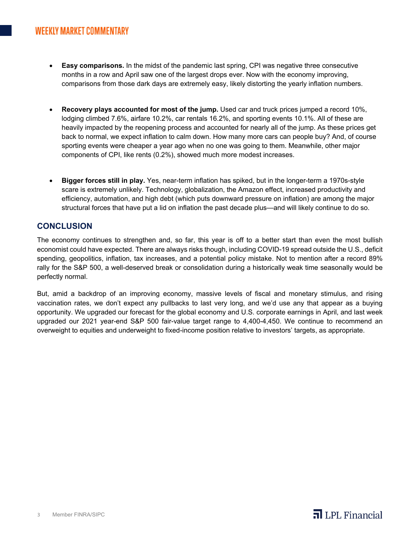- **Easy comparisons.** In the midst of the pandemic last spring, CPI was negative three consecutive months in a row and April saw one of the largest drops ever. Now with the economy improving, comparisons from those dark days are extremely easy, likely distorting the yearly inflation numbers.
- **Recovery plays accounted for most of the jump.** Used car and truck prices jumped a record 10%, lodging climbed 7.6%, airfare 10.2%, car rentals 16.2%, and sporting events 10.1%. All of these are heavily impacted by the reopening process and accounted for nearly all of the jump. As these prices get back to normal, we expect inflation to calm down. How many more cars can people buy? And, of course sporting events were cheaper a year ago when no one was going to them. Meanwhile, other major components of CPI, like rents (0.2%), showed much more modest increases.
- **Bigger forces still in play.** Yes, near-term inflation has spiked, but in the longer-term a 1970s-style scare is extremely unlikely. Technology, globalization, the Amazon effect, increased productivity and efficiency, automation, and high debt (which puts downward pressure on inflation) are among the major structural forces that have put a lid on inflation the past decade plus—and will likely continue to do so.

# **CONCLUSION**

The economy continues to strengthen and, so far, this year is off to a better start than even the most bullish economist could have expected. There are always risks though, including COVID-19 spread outside the U.S., deficit spending, geopolitics, inflation, tax increases, and a potential policy mistake. Not to mention after a record 89% rally for the S&P 500, a well-deserved break or consolidation during a historically weak time seasonally would be perfectly normal.

But, amid a backdrop of an improving economy, massive levels of fiscal and monetary stimulus, and rising vaccination rates, we don't expect any pullbacks to last very long, and we'd use any that appear as a buying opportunity. We upgraded our forecast for the global economy and U.S. corporate earnings in April, and last week upgraded our 2021 year-end S&P 500 fair-value target range to 4,400-4,450. We continue to recommend an overweight to equities and underweight to fixed-income position relative to investors' targets, as appropriate.